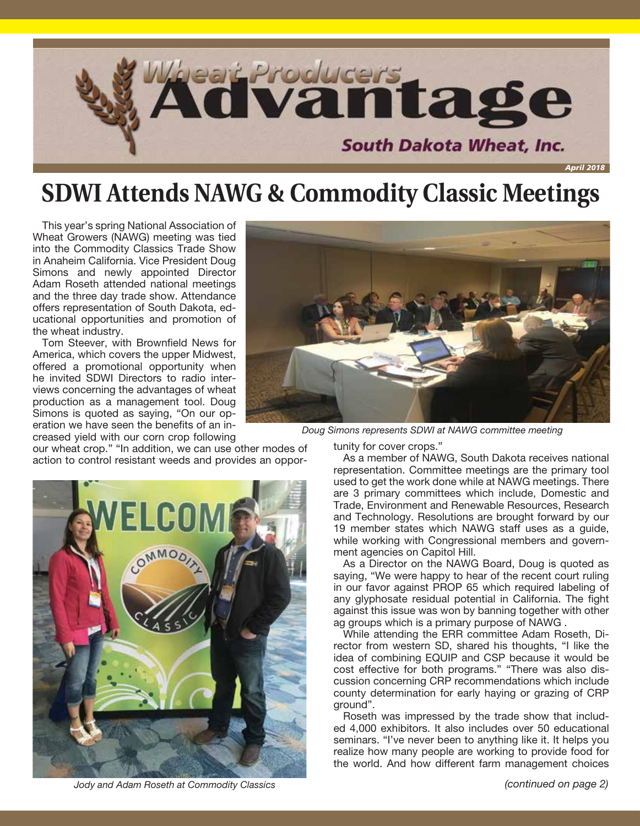

### **SDWI Attends NAWG & Commodity Classic Meetings**

This year's spring National Association of Wheat Growers (NAWG) meeting was tied into the Commodity Classics Trade Show in Anaheim California. Vice President Doug Simons and newly appointed Director Adam Roseth attended national meetings and the three day trade show. Attendance offers representation of South Dakota, educational opportunities and promotion of the wheat industry.

Tom Steever, with Brownfield News for America, which covers the upper Midwest, offered a promotional opportunity when he invited SDWI Directors to radio interviews concerning the advantages of wheat production as a management tool. Doug Simons is quoted as saying, "On our operation we have seen the benefits of an increased yield with our corn crop following

our wheat crop." "In addition, we can use other modes of action to control resistant weeds and provides an oppor-



*Doug Simons represents SDWI at NAWG committee meeting*

tunity for cover crops."

As a member of NAWG, South Dakota receives national representation. Committee meetings are the primary tool used to get the work done while at NAWG meetings. There are 3 primary committees which include, Domestic and Trade, Environment and Renewable Resources, Research and Technology. Resolutions are brought forward by our 19 member states which NAWG staff uses as a guide, while working with Congressional members and government agencies on Capitol Hill.

As a Director on the NAWG Board, Doug is quoted as saying, "We were happy to hear of the recent court ruling in our favor against PROP 65 which required labeling of any glyphosate residual potential in California. The fight against this issue was won by banning together with other ag groups which is a primary purpose of NAWG .

While attending the ERR committee Adam Roseth, Director from western SD, shared his thoughts, "I like the idea of combining EQUIP and CSP because it would be cost effective for both programs." "There was also discussion concerning CRP recommendations which include county determination for early haying or grazing of CRP ground".

Roseth was impressed by the trade show that included 4,000 exhibitors. It also includes over 50 educational seminars. "I've never been to anything like it. It helps you realize how many people are working to provide food for the world. And how different farm management choices



*Jody and Adam Roseth at Commodity Classics*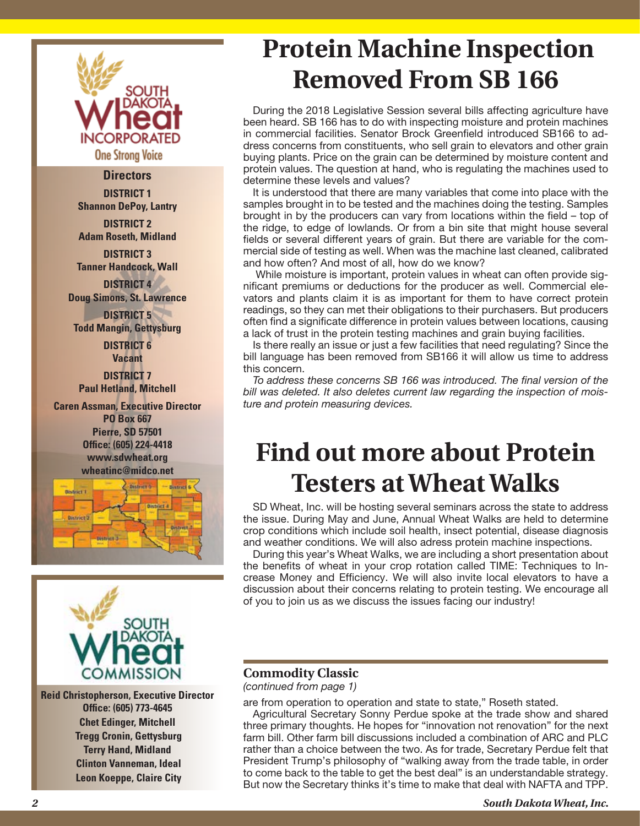

#### **Directors**

**DISTRICT 1 Shannon DePoy, Lantry**

**DISTRICT 2 Adam Roseth, Midland**

**DISTRICT 3 Tanner Handcock, Wall DISTRICT 4**

**Doug Simons, St. Lawrence**

**DISTRICT 5 Todd Mangin, Gettysburg DISTRICT 6**

**Vacant DISTRICT 7 Paul Hetland, Mitchell**

**Caren Assman, Executive Director PO Box 667 Pierre, SD 57501 Office: (605) 224-4418 www.sdwheat.org wheatinc@midco.net**





**Reid Christopherson, Executive Director Office: (605) 773-4645 Chet Edinger, Mitchell Tregg Cronin, Gettysburg Terry Hand, Midland Clinton Vanneman, Ideal Leon Koeppe, Claire City**

## **Protein Machine Inspection Removed From SB 166**

During the 2018 Legislative Session several bills affecting agriculture have been heard. SB 166 has to do with inspecting moisture and protein machines in commercial facilities. Senator Brock Greenfield introduced SB166 to address concerns from constituents, who sell grain to elevators and other grain buying plants. Price on the grain can be determined by moisture content and protein values. The question at hand, who is regulating the machines used to determine these levels and values?

It is understood that there are many variables that come into place with the samples brought in to be tested and the machines doing the testing. Samples brought in by the producers can vary from locations within the field – top of the ridge, to edge of lowlands. Or from a bin site that might house several fields or several different years of grain. But there are variable for the commercial side of testing as well. When was the machine last cleaned, calibrated and how often? And most of all, how do we know?

 While moisture is important, protein values in wheat can often provide significant premiums or deductions for the producer as well. Commercial elevators and plants claim it is as important for them to have correct protein readings, so they can met their obligations to their purchasers. But producers often find a significate difference in protein values between locations, causing a lack of trust in the protein testing machines and grain buying facilities.

Is there really an issue or just a few facilities that need regulating? Since the bill language has been removed from SB166 it will allow us time to address this concern.

*To address these concerns SB 166 was introduced. The final version of the bill was deleted. It also deletes current law regarding the inspection of moisture and protein measuring devices.*

### **Find out more about Protein Testers at Wheat Walks**

SD Wheat, Inc. will be hosting several seminars across the state to address the issue. During May and June, Annual Wheat Walks are held to determine crop conditions which include soil health, insect potential, disease diagnosis and weather conditions. We will also adress protein machine inspections.

During this year's Wheat Walks, we are including a short presentation about the benefits of wheat in your crop rotation called TIME: Techniques to Increase Money and Efficiency. We will also invite local elevators to have a discussion about their concerns relating to protein testing. We encourage all of you to join us as we discuss the issues facing our industry!

#### **Commodity Classic**

*(continued from page 1)*

are from operation to operation and state to state," Roseth stated.

Agricultural Secretary Sonny Perdue spoke at the trade show and shared three primary thoughts. He hopes for "innovation not renovation" for the next farm bill. Other farm bill discussions included a combination of ARC and PLC rather than a choice between the two. As for trade, Secretary Perdue felt that President Trump's philosophy of "walking away from the trade table, in order to come back to the table to get the best deal" is an understandable strategy. But now the Secretary thinks it's time to make that deal with NAFTA and TPP.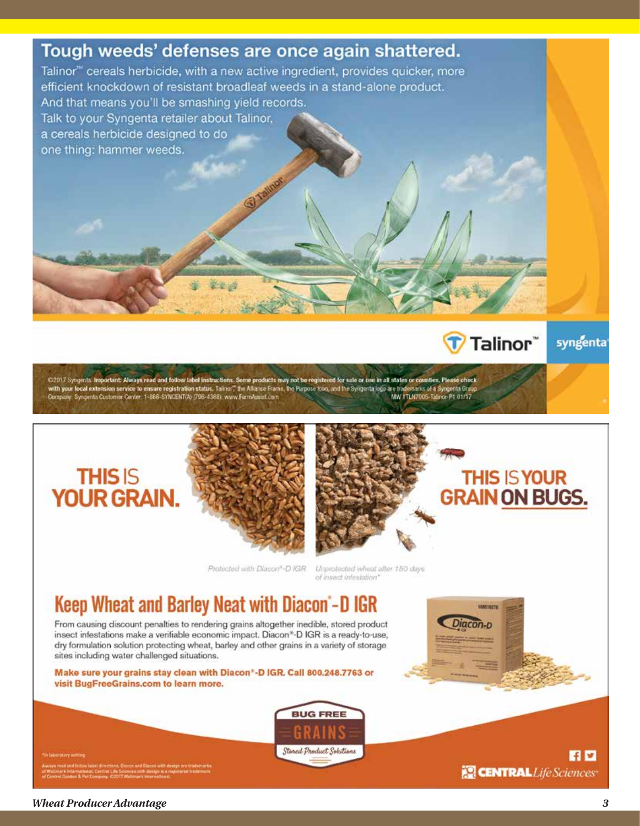### Tough weeds' defenses are once again shattered.

Talinor<sup>™</sup> cereals herbicide, with a new active ingredient, provides quicker, more efficient knockdown of resistant broadleaf weeds in a stand-alone product. And that means you'll be smashing yield records. Talk to your Syngenta retailer about Talinor, a cereals herbicide designed to do one thing: hammer weeds.

C2017 Syngeria. Important: Always read and follow label instructions. Some products may not be registered for sale or use in all states or counties. Please check<br>with your local extension service to ensure registration sta

### **THISIS YOUR GRAIN.**





Protected with Diacon®-D IGR

Unprotected wheat after 150 days of insect infestation'

### Keep Wheat and Barley Neat with Diacon'-D IGR

From causing discount penalties to rendering grains altogether inedible, stored product insect infestations make a verifiable economic impact. Diacon\*-D IGR is a ready-to-use, dry formulation solution protecting wheat, barley and other grains in a variety of storage sites including water challenged situations.

Make sure your grains stay clean with Diacon\*-D IGR. Call 800.248.7763 or visit BugFreeGrains.com to learn more.



**HD CENTRAL** Life Sciences

Talinor"

**THIS IS YOUR** 

syngenta

**Wheat Producer Advantage**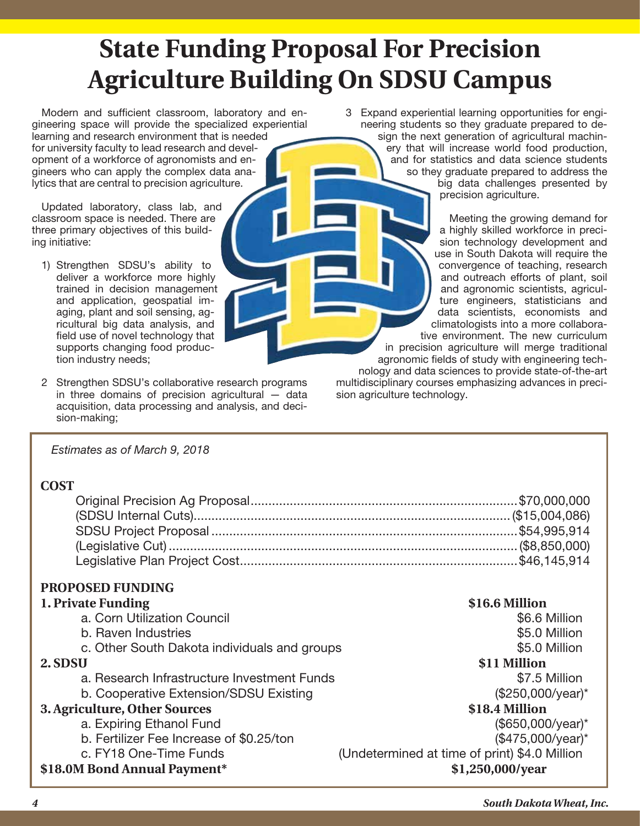# **State Funding Proposal For Precision Agriculture Building On SDSU Campus**

Modern and sufficient classroom, laboratory and engineering space will provide the specialized experiential learning and research environment that is needed for university faculty to lead research and development of a workforce of agronomists and engineers who can apply the complex data analytics that are central to precision agriculture.

Updated laboratory, class lab, and classroom space is needed. There are three primary objectives of this building initiative:

- 1) Strengthen SDSU's ability to deliver a workforce more highly trained in decision management and application, geospatial imaging, plant and soil sensing, agricultural big data analysis, and field use of novel technology that supports changing food production industry needs;
- 2 Strengthen SDSU's collaborative research programs in three domains of precision agricultural — data acquisition, data processing and analysis, and decision-making;

3 Expand experiential learning opportunities for engineering students so they graduate prepared to design the next generation of agricultural machinery that will increase world food production, and for statistics and data science students so they graduate prepared to address the big data challenges presented by precision agriculture.

> Meeting the growing demand for a highly skilled workforce in precision technology development and use in South Dakota will require the convergence of teaching, research and outreach efforts of plant, soil and agronomic scientists, agriculture engineers, statisticians and data scientists, economists and climatologists into a more collaborative environment. The new curriculum in precision agriculture will merge traditional

agronomic fields of study with engineering technology and data sciences to provide state-of-the-art multidisciplinary courses emphasizing advances in precision agriculture technology.

#### *Estimates as of March 9, 2018*

### **COST**

### **PROPOSED FUNDING**

### **1. Private Funding \$16.6 Million**

- a. Corn Utilization Council **but a controllation of the controllation**  $$6.6$  Million b. Raven Industries **b.** Raven Industries **b.** Raven Industries **b.** Raven Industries **b.** 85.0 Million c. Other South Dakota individuals and groups  $$5.0$  Million **2. SDSU \$11 Million** a. Research Infrastructure Investment Funds **\$7.5 Million** b. Cooperative Extension/SDSU Existing the contract to the state (\$250,000/year)\* **3. Agriculture, Other Sources \$18.4 Million** a. Expiring Ethanol Fund (\$650,000/year)\* b. Fertilizer Fee Increase of \$0.25/ton (\$475,000/year)\*
	-
- 

c. FY18 One-Time Funds (Undetermined at time of print) \$4.0 Million **\$18.0M Bond Annual Payment\* \$1,250,000/year**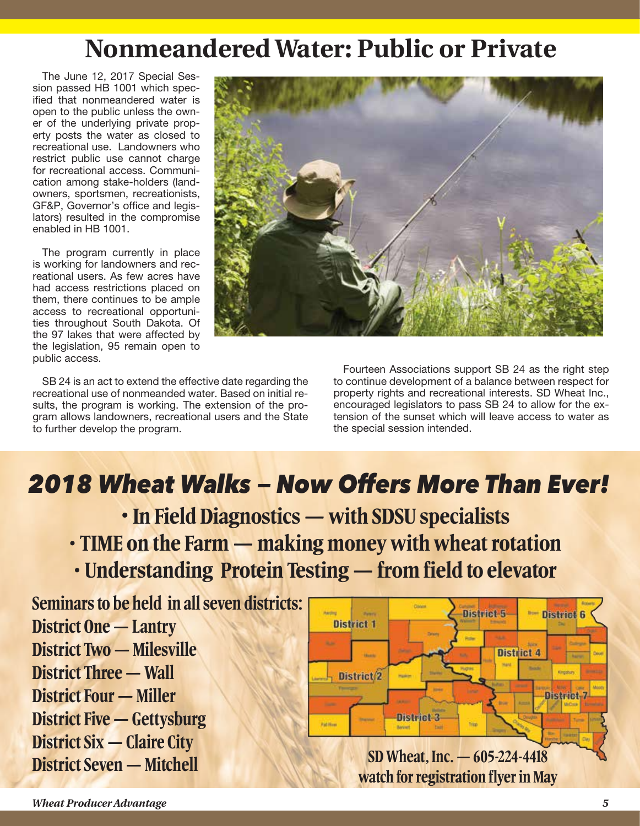### **Nonmeandered Water: Public or Private**

The June 12, 2017 Special Session passed HB 1001 which specified that nonmeandered water is open to the public unless the owner of the underlying private property posts the water as closed to recreational use. Landowners who restrict public use cannot charge for recreational access. Communication among stake-holders (landowners, sportsmen, recreationists, GF&P, Governor's office and legislators) resulted in the compromise enabled in HB 1001.

The program currently in place is working for landowners and recreational users. As few acres have had access restrictions placed on them, there continues to be ample access to recreational opportunities throughout South Dakota. Of the 97 lakes that were affected by the legislation, 95 remain open to public access.



SB 24 is an act to extend the effective date regarding the recreational use of nonmeanded water. Based on initial results, the program is working. The extension of the program allows landowners, recreational users and the State to further develop the program.

Fourteen Associations support SB 24 as the right step to continue development of a balance between respect for property rights and recreational interests. SD Wheat Inc., encouraged legislators to pass SB 24 to allow for the extension of the sunset which will leave access to water as the special session intended.

# *2018 Wheat Walks — Now Offers More Than Ever!*

- **In Field Diagnostics with SDSU specialists**
- **TIME on the Farm making money with wheat rotation**
- **Understanding Protein Testing from field to elevator**

**Seminars to be held in all seven districts: District One — Lantry District Two — Milesville District Three — Wall District Four — Miller District Five — Gettysburg District Six — Claire City**

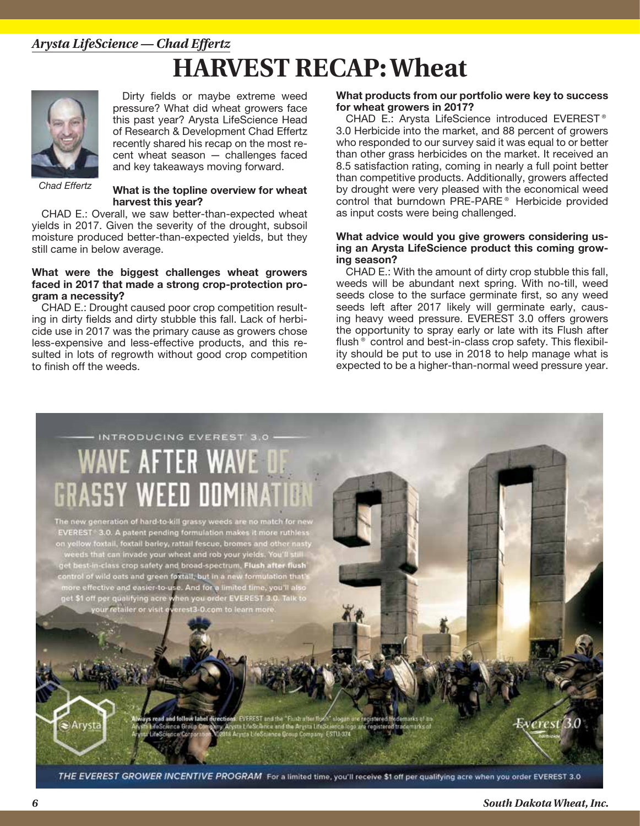### **HARVEST RECAP: Wheat** *Arysta LifeScience — Chad Effertz*



Dirty fields or maybe extreme weed pressure? What did wheat growers face this past year? Arysta LifeScience Head of Research & Development Chad Effertz recently shared his recap on the most recent wheat season — challenges faced and key takeaways moving forward.

*Chad Effertz*

#### **What is the topline overview for wheat harvest this year?**

CHAD E.: Overall, we saw better-than-expected wheat yields in 2017. Given the severity of the drought, subsoil moisture produced better-than-expected yields, but they still came in below average.

#### **What were the biggest challenges wheat growers faced in 2017 that made a strong crop-protection program a necessity?**

CHAD E.: Drought caused poor crop competition resulting in dirty fields and dirty stubble this fall. Lack of herbicide use in 2017 was the primary cause as growers chose less-expensive and less-effective products, and this resulted in lots of regrowth without good crop competition to finish off the weeds.

#### **What products from our portfolio were key to success for wheat growers in 2017?**

CHAD E.: Arysta LifeScience introduced EVEREST<sup>®</sup> 3.0 Herbicide into the market, and 88 percent of growers who responded to our survey said it was equal to or better than other grass herbicides on the market. It received an 8.5 satisfaction rating, coming in nearly a full point better than competitive products. Additionally, growers affected by drought were very pleased with the economical weed control that burndown PRE-PARE® Herbicide provided as input costs were being challenged.

#### **What advice would you give growers considering using an Arysta LifeScience product this coming growing season?**

CHAD E.: With the amount of dirty crop stubble this fall, weeds will be abundant next spring. With no-till, weed seeds close to the surface germinate first, so any weed seeds left after 2017 likely will germinate early, causing heavy weed pressure. EVEREST 3.0 offers growers the opportunity to spray early or late with its Flush after flush<sup>®</sup> control and best-in-class crop safety. This flexibility should be put to use in 2018 to help manage what is expected to be a higher-than-normal weed pressure year.

# INTRODUCING EVEREST 3.0 **/F AFTFR**

new generation of hard-to-kill grassy weeds are no match for ne EVEREST 3.0. A patent pending formulation makes it more ruthless on yellow toxtail, foxtail barley, rattail fescue, bromes and other nasty renow roxiall, loxial barley, ratial rescue, bromes and other hasty<br>reeds that can invade your wheat and rob your yields. You'll still<br>t best-in-class crop safety and broad-spectrum, Flush after flush trol of wild oats and green foxtail, but in a new formulation that's e effective and easier-to-use. And for a limited time, you'll also et \$1 off per qualifying acre when you order EVEREST 3.0. Talk to retailer or visit everest3-0.com to learn mor

> **Sirections: EVEREST and the "Flush a**<br>Nov. Arysta LifeScience and the Ary and follow label directi **ESTU 374 Sachianna** Co

THE EVEREST GROWER INCENTIVE PROGRAM For a limited time, you'll receive \$1 off per qualifying acre when you order EVEREST 3.0

werest 3.0

Arysta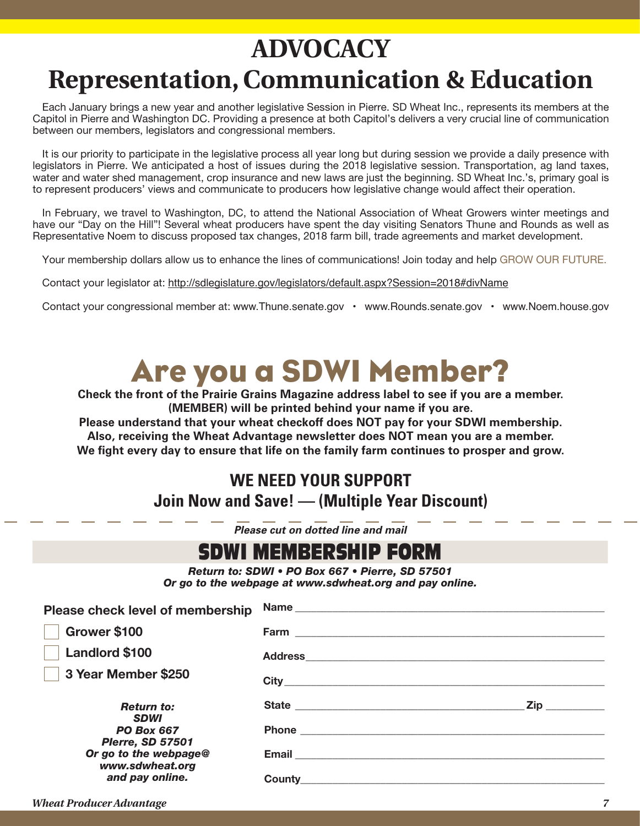# **ADVOCACY Representation, Communication & Education**

Each January brings a new year and another legislative Session in Pierre. SD Wheat Inc., represents its members at the Capitol in Pierre and Washington DC. Providing a presence at both Capitol's delivers a very crucial line of communication between our members, legislators and congressional members.

It is our priority to participate in the legislative process all year long but during session we provide a daily presence with legislators in Pierre. We anticipated a host of issues during the 2018 legislative session. Transportation, ag land taxes, water and water shed management, crop insurance and new laws are just the beginning. SD Wheat Inc.'s, primary goal is to represent producers' views and communicate to producers how legislative change would affect their operation.

In February, we travel to Washington, DC, to attend the National Association of Wheat Growers winter meetings and have our "Day on the Hill"! Several wheat producers have spent the day visiting Senators Thune and Rounds as well as Representative Noem to discuss proposed tax changes, 2018 farm bill, trade agreements and market development.

Your membership dollars allow us to enhance the lines of communications! Join today and help GROW OUR FUTURE.

Contact your legislator at: http://sdlegislature.gov/legislators/default.aspx?Session=2018#divName

Contact your congressional member at: www.Thune.senate.gov • www.Rounds.senate.gov • www.Noem.house.gov

# Are you a SDWI Member?

**Check the front of the Prairie Grains Magazine address label to see if you are a member. (MEMBER) will be printed behind your name if you are.**

**Please understand that your wheat checkoff does NOT pay for your SDWI membership. Also, receiving the Wheat Advantage newsletter does NOT mean you are a member. We fight every day to ensure that life on the family farm continues to prosper and grow.**

### **WE NEED YOUR SUPPORT Join Now and Save! — (Multiple Year Discount)**

*Please cut on dotted line and mail*

| SDWI MEMBERSHIP FORM                                                                                       |                       |                                                                                                                                                                                                                                     |
|------------------------------------------------------------------------------------------------------------|-----------------------|-------------------------------------------------------------------------------------------------------------------------------------------------------------------------------------------------------------------------------------|
| Return to: SDWI . PO Box 667 . Pierre, SD 57501<br>Or go to the webpage at www.sdwheat.org and pay online. |                       |                                                                                                                                                                                                                                     |
| Please check level of membership                                                                           |                       |                                                                                                                                                                                                                                     |
| Grower \$100                                                                                               |                       |                                                                                                                                                                                                                                     |
| <b>Landlord \$100</b>                                                                                      |                       |                                                                                                                                                                                                                                     |
| 3 Year Member \$250                                                                                        | City <u>City City</u> |                                                                                                                                                                                                                                     |
| <b>Return to:</b><br><b>SDWI</b>                                                                           |                       | <b>Zip</b> and the set of the set of the set of the set of the set of the set of the set of the set of the set of the set of the set of the set of the set of the set of the set of the set of the set of the set of the set of the |
| <b>PO Box 667</b>                                                                                          |                       |                                                                                                                                                                                                                                     |

**Email \_\_\_\_\_\_\_\_\_\_\_\_\_\_\_\_\_\_\_\_\_\_\_\_\_\_\_\_\_\_\_\_\_\_\_\_\_\_\_\_\_\_\_\_\_\_\_\_\_\_\_\_\_\_\_\_\_\_**

**County\_\_\_\_\_\_\_\_\_\_\_\_\_\_\_\_\_\_\_\_\_\_\_\_\_\_\_\_\_\_\_\_\_\_\_\_\_\_\_\_\_\_\_\_\_\_\_\_\_\_\_\_\_\_\_\_\_**

*PO Box 667 PIerre, SD 57501 Or go to the webpage@ www.sdwheat.org and pay online.*

*Wheat Producer Advantage 7*